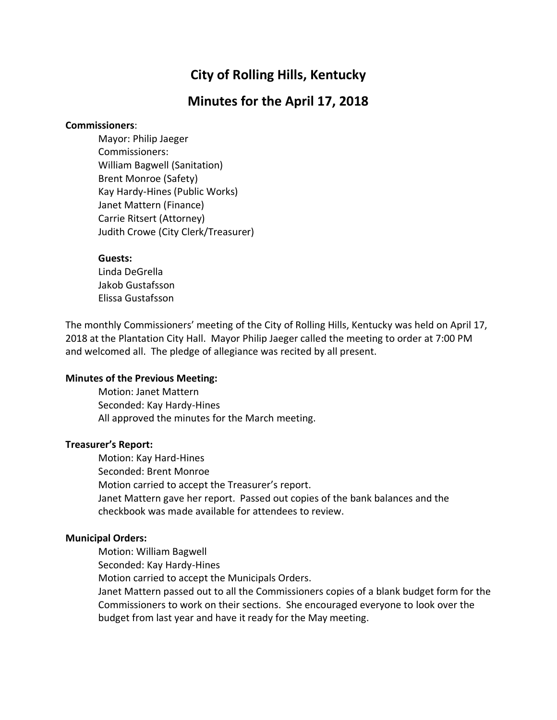# **City of Rolling Hills, Kentucky**

# **Minutes for the April 17, 2018**

#### **Commissioners**:

Mayor: Philip Jaeger Commissioners: William Bagwell (Sanitation) Brent Monroe (Safety) Kay Hardy-Hines (Public Works) Janet Mattern (Finance) Carrie Ritsert (Attorney) Judith Crowe (City Clerk/Treasurer)

#### **Guests:**

Linda DeGrella Jakob Gustafsson Elissa Gustafsson

The monthly Commissioners' meeting of the City of Rolling Hills, Kentucky was held on April 17, 2018 at the Plantation City Hall. Mayor Philip Jaeger called the meeting to order at 7:00 PM and welcomed all. The pledge of allegiance was recited by all present.

### **Minutes of the Previous Meeting:**

Motion: Janet Mattern Seconded: Kay Hardy-Hines All approved the minutes for the March meeting.

### **Treasurer's Report:**

Motion: Kay Hard-Hines Seconded: Brent Monroe Motion carried to accept the Treasurer's report. Janet Mattern gave her report. Passed out copies of the bank balances and the checkbook was made available for attendees to review.

### **Municipal Orders:**

Motion: William Bagwell

Seconded: Kay Hardy-Hines

Motion carried to accept the Municipals Orders.

Janet Mattern passed out to all the Commissioners copies of a blank budget form for the Commissioners to work on their sections. She encouraged everyone to look over the budget from last year and have it ready for the May meeting.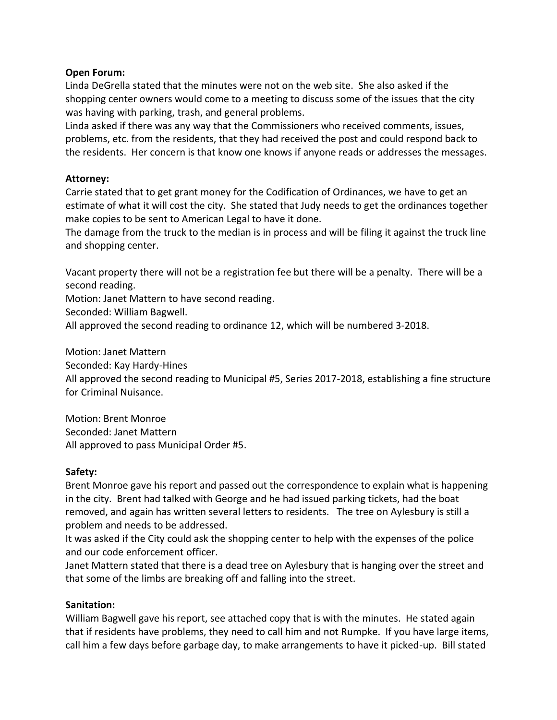### **Open Forum:**

Linda DeGrella stated that the minutes were not on the web site. She also asked if the shopping center owners would come to a meeting to discuss some of the issues that the city was having with parking, trash, and general problems.

Linda asked if there was any way that the Commissioners who received comments, issues, problems, etc. from the residents, that they had received the post and could respond back to the residents. Her concern is that know one knows if anyone reads or addresses the messages.

### **Attorney:**

Carrie stated that to get grant money for the Codification of Ordinances, we have to get an estimate of what it will cost the city. She stated that Judy needs to get the ordinances together make copies to be sent to American Legal to have it done.

The damage from the truck to the median is in process and will be filing it against the truck line and shopping center.

Vacant property there will not be a registration fee but there will be a penalty. There will be a second reading.

Motion: Janet Mattern to have second reading.

Seconded: William Bagwell.

All approved the second reading to ordinance 12, which will be numbered 3-2018.

Motion: Janet Mattern

Seconded: Kay Hardy-Hines

All approved the second reading to Municipal #5, Series 2017-2018, establishing a fine structure for Criminal Nuisance.

Motion: Brent Monroe Seconded: Janet Mattern All approved to pass Municipal Order #5.

### **Safety:**

Brent Monroe gave his report and passed out the correspondence to explain what is happening in the city. Brent had talked with George and he had issued parking tickets, had the boat removed, and again has written several letters to residents. The tree on Aylesbury is still a problem and needs to be addressed.

It was asked if the City could ask the shopping center to help with the expenses of the police and our code enforcement officer.

Janet Mattern stated that there is a dead tree on Aylesbury that is hanging over the street and that some of the limbs are breaking off and falling into the street.

### **Sanitation:**

William Bagwell gave his report, see attached copy that is with the minutes. He stated again that if residents have problems, they need to call him and not Rumpke. If you have large items, call him a few days before garbage day, to make arrangements to have it picked-up. Bill stated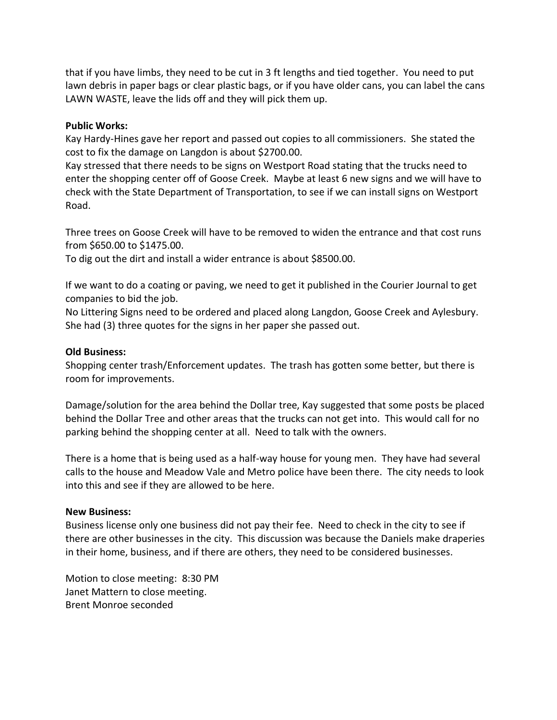that if you have limbs, they need to be cut in 3 ft lengths and tied together. You need to put lawn debris in paper bags or clear plastic bags, or if you have older cans, you can label the cans LAWN WASTE, leave the lids off and they will pick them up.

## **Public Works:**

Kay Hardy-Hines gave her report and passed out copies to all commissioners. She stated the cost to fix the damage on Langdon is about \$2700.00.

Kay stressed that there needs to be signs on Westport Road stating that the trucks need to enter the shopping center off of Goose Creek. Maybe at least 6 new signs and we will have to check with the State Department of Transportation, to see if we can install signs on Westport Road.

Three trees on Goose Creek will have to be removed to widen the entrance and that cost runs from \$650.00 to \$1475.00.

To dig out the dirt and install a wider entrance is about \$8500.00.

If we want to do a coating or paving, we need to get it published in the Courier Journal to get companies to bid the job.

No Littering Signs need to be ordered and placed along Langdon, Goose Creek and Aylesbury. She had (3) three quotes for the signs in her paper she passed out.

### **Old Business:**

Shopping center trash/Enforcement updates. The trash has gotten some better, but there is room for improvements.

Damage/solution for the area behind the Dollar tree, Kay suggested that some posts be placed behind the Dollar Tree and other areas that the trucks can not get into. This would call for no parking behind the shopping center at all. Need to talk with the owners.

There is a home that is being used as a half-way house for young men. They have had several calls to the house and Meadow Vale and Metro police have been there. The city needs to look into this and see if they are allowed to be here.

### **New Business:**

Business license only one business did not pay their fee. Need to check in the city to see if there are other businesses in the city. This discussion was because the Daniels make draperies in their home, business, and if there are others, they need to be considered businesses.

Motion to close meeting: 8:30 PM Janet Mattern to close meeting. Brent Monroe seconded